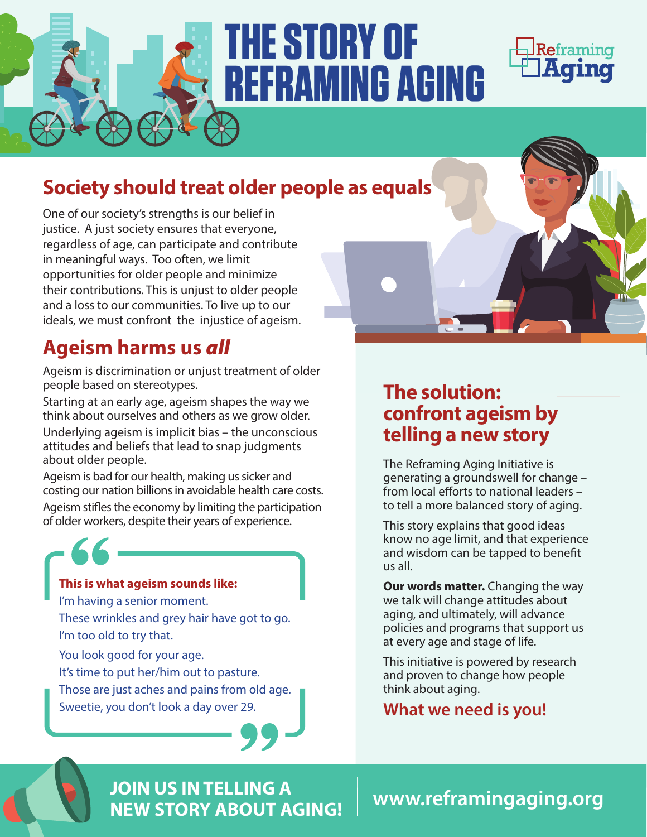

# **THE STORY OF REFRAMING AGING**



# **Society should treat older people as equals**

One of our society's strengths is our belief in justice. A just society ensures that everyone, regardless of age, can participate and contribute in meaningful ways. Too often, we limit opportunities for older people and minimize their contributions. This is unjust to older people and a loss to our communities. To live up to our ideals, we must confront the injustice of ageism.

# **Ageism harms us** *all*

Ageism is discrimination or unjust treatment of older people based on stereotypes.

Starting at an early age, ageism shapes the way we think about ourselves and others as we grow older.

Underlying ageism is implicit bias – the unconscious attitudes and beliefs that lead to snap judgments about older people.

Ageism is bad for our health, making us sicker and costing our nation billions in avoidable health care costs. Ageism stifles the economy by limiting the participation of older workers, despite their years of experience.

#### **This is what ageism sounds like:**

I'm having a senior moment.

These wrinkles and grey hair have got to go. I'm too old to try that.

You look good for your age.

It's time to put her/him out to pasture.

Those are just aches and pains from old age. Sweetie, you don't look a day over 29.

### **The solution: confront ageism by telling a new story**

The Reframing Aging Initiative is generating a groundswell for change –  $from local efforts to national leaders –$ to tell a more balanced story of aging.

This story explains that good ideas know no age limit, and that experience and wisdom can be tapped to benefit us all.

**Our words matter.** Changing the way we talk will change attitudes about aging, and ultimately, will advance policies and programs that support us at every age and stage of life.

This initiative is powered by research and proven to change how people think about aging.

#### **What we need is you!**

**www.reframingaging.org JOIN US IN TELLING A NEW STORY ABOUT AGING!**